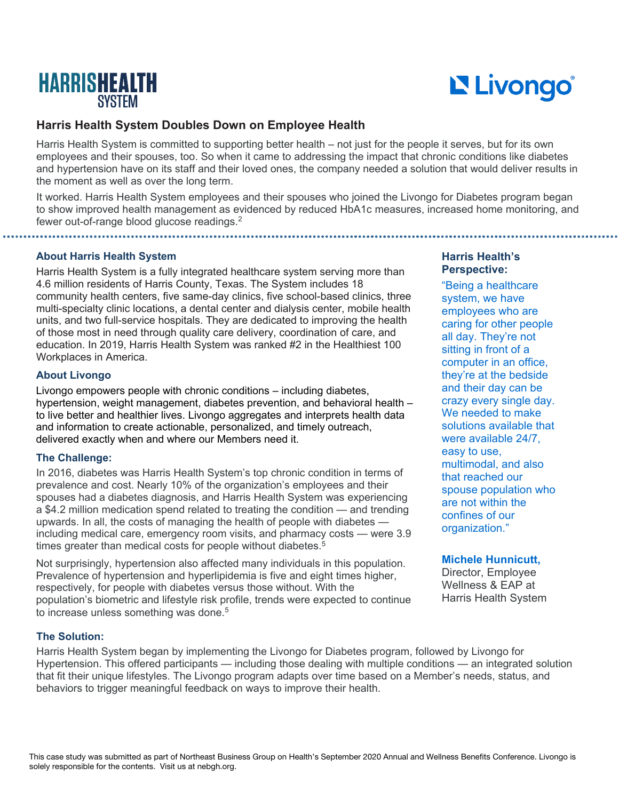

# Livongo®

## **Harris Health System Doubles Down on Employee Health**

Harris Health System is committed to supporting better health – not just for the people it serves, but for its own employees and their spouses, too. So when it came to addressing the impact that chronic conditions like diabetes and hypertension have on its staff and their loved ones, the company needed a solution that would deliver results in the moment as well as over the long term.

It worked. Harris Health System employees and their spouses who joined the Livongo for Diabetes program began to show improved health management as evidenced by reduced HbA1c measures, increased home monitoring, and fewer out-of-range blood glucose readings.<sup>2</sup>

**About Harris Health System**

Harris Health System is a fully integrated healthcare system serving more than 4.6 million residents of Harris County, Texas. The System includes 18 community health centers, five same-day clinics, five school-based clinics, three multi-specialty clinic locations, a dental center and dialysis center, mobile health units, and two full-service hospitals. They are dedicated to improving the health of those most in need through quality care delivery, coordination of care, and education. In 2019, Harris Health System was ranked #2 in the Healthiest 100 Workplaces in America.

## **About Livongo**

Livongo empowers people with chronic conditions – including diabetes, hypertension, weight management, diabetes prevention, and behavioral health – to live better and healthier lives. Livongo aggregates and interprets health data and information to create actionable, personalized, and timely outreach, delivered exactly when and where our Members need it.

### **The Challenge:**

In 2016, diabetes was Harris Health System's top chronic condition in terms of prevalence and cost. Nearly 10% of the organization's employees and their spouses had a diabetes diagnosis, and Harris Health System was experiencing a \$4.2 million medication spend related to treating the condition — and trending upwards. In all, the costs of managing the health of people with diabetes including medical care, emergency room visits, and pharmacy costs — were 3.9 times greater than medical costs for people without diabetes. $5$ 

Not surprisingly, hypertension also affected many individuals in this population. Prevalence of hypertension and hyperlipidemia is five and eight times higher, respectively, for people with diabetes versus those without. With the population's biometric and lifestyle risk profile, trends were expected to continue to increase unless something was done.<sup>5</sup>

### **The Solution:**

Harris Health System began by implementing the Livongo for Diabetes program, followed by Livongo for Hypertension. This offered participants — including those dealing with multiple conditions — an integrated solution that fit their unique lifestyles. The Livongo program adapts over time based on a Member's needs, status, and behaviors to trigger meaningful feedback on ways to improve their health.

## **Harris Health's Perspective:**

"Being a healthcare system, we have employees who are caring for other people all day. They're not sitting in front of a computer in an office, they're at the bedside and their day can be crazy every single day. We needed to make solutions available that were available 24/7, easy to use, multimodal, and also that reached our spouse population who are not within the confines of our organization."

## **Michele Hunnicutt,**

Director, Employee Wellness & EAP at Harris Health System